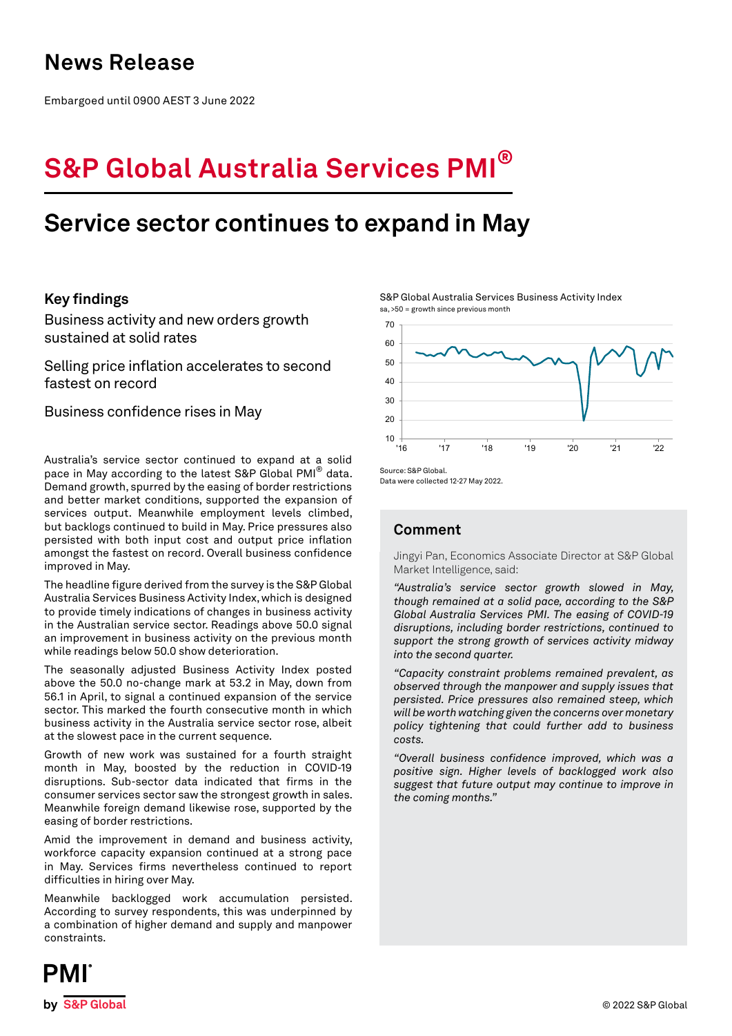## **News Release**

Embargoed until 0900 AEST 3 June 2022

# **S&P Global Australia Services PMI®**

# **Service sector continues to expand in May**

## **Key findings**

Business activity and new orders growth sustained at solid rates

Selling price inflation accelerates to second fastest on record

Business confidence rises in May

Australia's service sector continued to expand at a solid pace in May according to the latest S&P Global PMI<sup>®</sup> data. Demand growth, spurred by the easing of border restrictions and better market conditions, supported the expansion of services output. Meanwhile employment levels climbed, but backlogs continued to build in May. Price pressures also persisted with both input cost and output price inflation amongst the fastest on record. Overall business confidence improved in May.

The headline figure derived from the survey is the S&P Global Australia Services Business Activity Index, which is designed to provide timely indications of changes in business activity in the Australian service sector. Readings above 50.0 signal an improvement in business activity on the previous month while readings below 50.0 show deterioration.

The seasonally adjusted Business Activity Index posted above the 50.0 no-change mark at 53.2 in May, down from 56.1 in April, to signal a continued expansion of the service sector. This marked the fourth consecutive month in which business activity in the Australia service sector rose, albeit at the slowest pace in the current sequence.

Growth of new work was sustained for a fourth straight month in May, boosted by the reduction in COVID-19 disruptions. Sub-sector data indicated that firms in the consumer services sector saw the strongest growth in sales. Meanwhile foreign demand likewise rose, supported by the easing of border restrictions.

Amid the improvement in demand and business activity, workforce capacity expansion continued at a strong pace in May. Services firms nevertheless continued to report difficulties in hiring over May.

Meanwhile backlogged work accumulation persisted. According to survey respondents, this was underpinned by a combination of higher demand and supply and manpower constraints.

S&P Global Australia Services Business Activity Index sa, >50 = growth since previous month



Data were collected 12-27 May 2022.

## **Comment**

Jingyi Pan, Economics Associate Director at S&P Global Market Intelligence, said:

*"Australia's service sector growth slowed in May, though remained at a solid pace, according to the S&P Global Australia Services PMI. The easing of COVID-19 disruptions, including border restrictions, continued to support the strong growth of services activity midway into the second quarter.* 

*"Capacity constraint problems remained prevalent, as observed through the manpower and supply issues that persisted. Price pressures also remained steep, which will be worth watching given the concerns over monetary policy tightening that could further add to business costs.* 

*"Overall business confidence improved, which was a positive sign. Higher levels of backlogged work also suggest that future output may continue to improve in the coming months."*

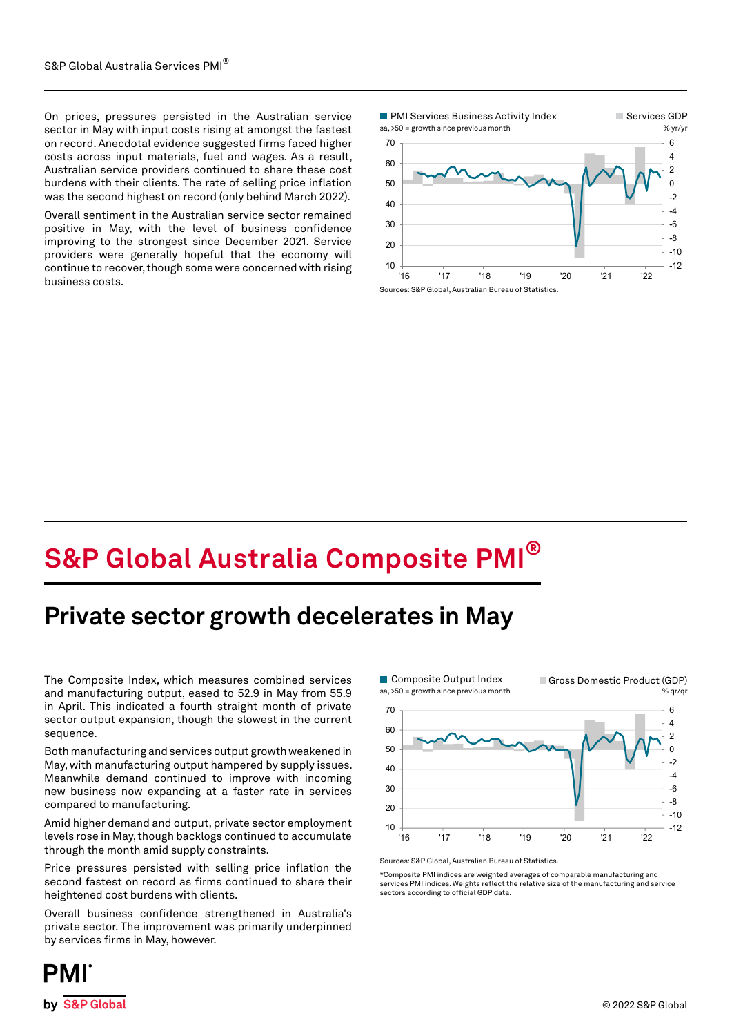On prices, pressures persisted in the Australian service sector in May with input costs rising at amongst the fastest on record. Anecdotal evidence suggested firms faced higher costs across input materials, fuel and wages. As a result, Australian service providers continued to share these cost burdens with their clients. The rate of selling price inflation was the second highest on record (only behind March 2022).

Overall sentiment in the Australian service sector remained positive in May, with the level of business confidence improving to the strongest since December 2021. Service providers were generally hopeful that the economy will continue to recover, though some were concerned with rising business costs.



# **S&P Global Australia Composite PMI®**

## **Private sector growth decelerates in May**

The Composite Index, which measures combined services and manufacturing output, eased to 52.9 in May from 55.9 in April. This indicated a fourth straight month of private sector output expansion, though the slowest in the current sequence.

Both manufacturing and services output growth weakened in May, with manufacturing output hampered by supply issues. Meanwhile demand continued to improve with incoming new business now expanding at a faster rate in services compared to manufacturing.

Amid higher demand and output, private sector employment levels rose in May, though backlogs continued to accumulate through the month amid supply constraints.

Price pressures persisted with selling price inflation the second fastest on record as firms continued to share their heightened cost burdens with clients.

Overall business confidence strengthened in Australia's private sector. The improvement was primarily underpinned by services firms in May, however.



Sources: S&P Global, Australian Bureau of Statistics.

\*Composite PMI indices are weighted averages of comparable manufacturing and services PMI indices. Weights reflect the relative size of the manufacturing and service sectors according to official GDP data.